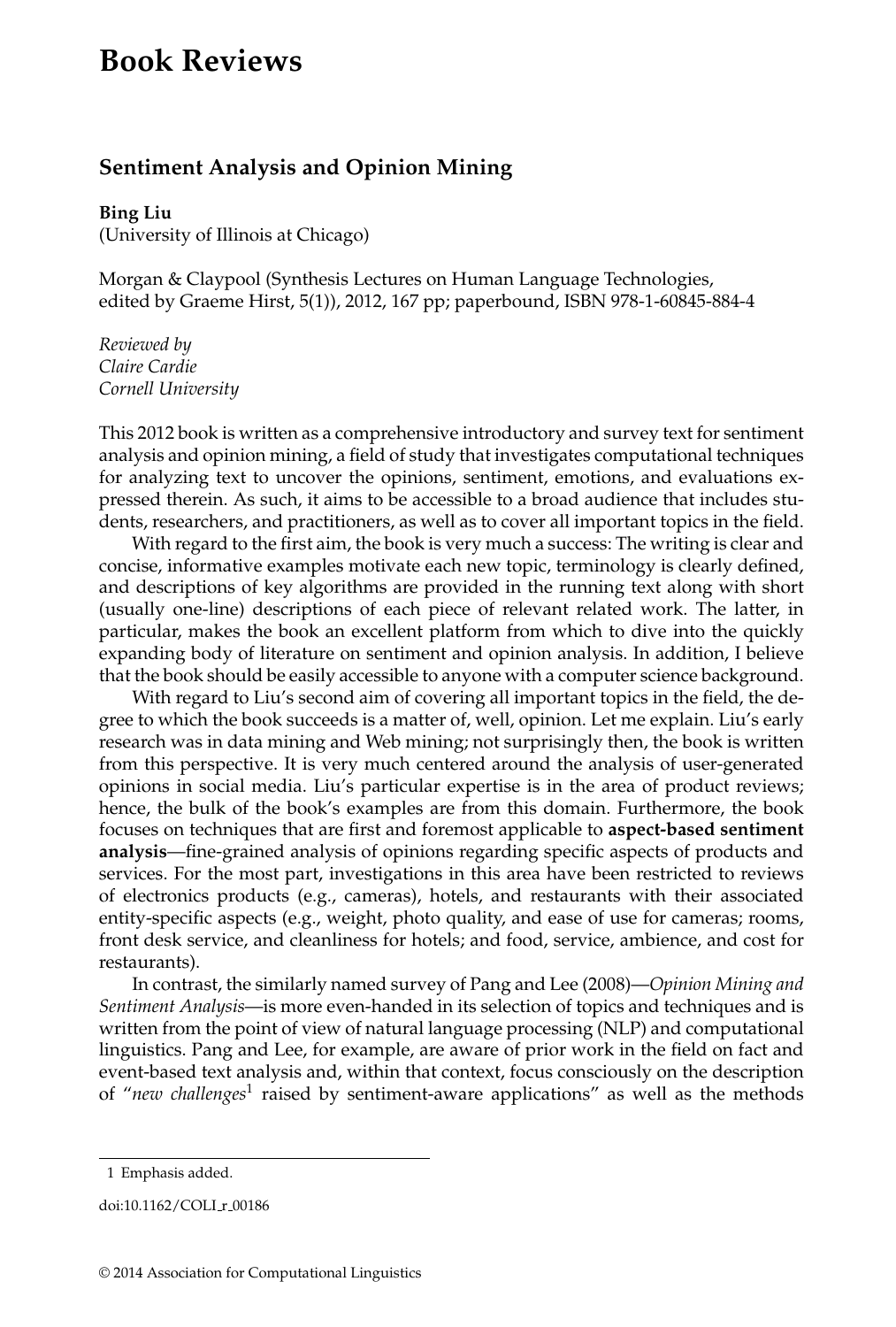## **Book Reviews**

## **Sentiment Analysis and Opinion Mining**

## **Bing Liu**

(University of Illinois at Chicago)

Morgan & Claypool (Synthesis Lectures on Human Language Technologies, edited by Graeme Hirst, 5(1)), 2012, 167 pp; paperbound, ISBN 978-1-60845-884-4

*Reviewed by Claire Cardie Cornell University*

This 2012 book is written as a comprehensive introductory and survey text for sentiment analysis and opinion mining, a field of study that investigates computational techniques for analyzing text to uncover the opinions, sentiment, emotions, and evaluations expressed therein. As such, it aims to be accessible to a broad audience that includes students, researchers, and practitioners, as well as to cover all important topics in the field.

With regard to the first aim, the book is very much a success: The writing is clear and concise, informative examples motivate each new topic, terminology is clearly defined, and descriptions of key algorithms are provided in the running text along with short (usually one-line) descriptions of each piece of relevant related work. The latter, in particular, makes the book an excellent platform from which to dive into the quickly expanding body of literature on sentiment and opinion analysis. In addition, I believe that the book should be easily accessible to anyone with a computer science background.

With regard to Liu's second aim of covering all important topics in the field, the degree to which the book succeeds is a matter of, well, opinion. Let me explain. Liu's early research was in data mining and Web mining; not surprisingly then, the book is written from this perspective. It is very much centered around the analysis of user-generated opinions in social media. Liu's particular expertise is in the area of product reviews; hence, the bulk of the book's examples are from this domain. Furthermore, the book focuses on techniques that are first and foremost applicable to **aspect-based sentiment analysis**—fine-grained analysis of opinions regarding specific aspects of products and services. For the most part, investigations in this area have been restricted to reviews of electronics products (e.g., cameras), hotels, and restaurants with their associated entity-specific aspects (e.g., weight, photo quality, and ease of use for cameras; rooms, front desk service, and cleanliness for hotels; and food, service, ambience, and cost for restaurants).

In contrast, the similarly named survey of Pang and Lee (2008)—*Opinion Mining and Sentiment Analysis*—is more even-handed in its selection of topics and techniques and is written from the point of view of natural language processing (NLP) and computational linguistics. Pang and Lee, for example, are aware of prior work in the field on fact and event-based text analysis and, within that context, focus consciously on the description of "*new challenges*<sup>1</sup> raised by sentiment-aware applications" as well as the methods

<sup>1</sup> Emphasis added.

doi:10.1162/COLI\_r\_00186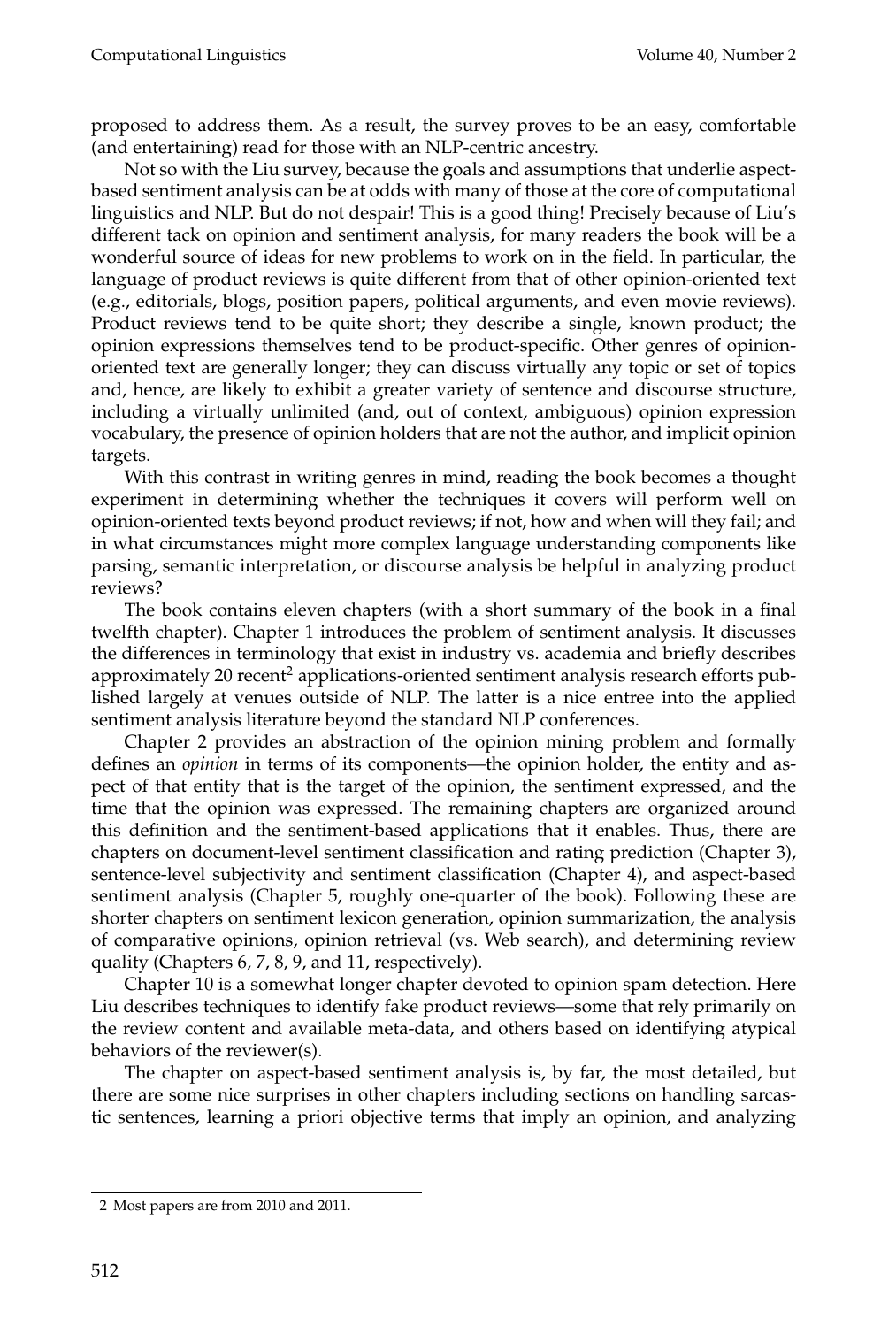proposed to address them. As a result, the survey proves to be an easy, comfortable (and entertaining) read for those with an NLP-centric ancestry.

Not so with the Liu survey, because the goals and assumptions that underlie aspectbased sentiment analysis can be at odds with many of those at the core of computational linguistics and NLP. But do not despair! This is a good thing! Precisely because of Liu's different tack on opinion and sentiment analysis, for many readers the book will be a wonderful source of ideas for new problems to work on in the field. In particular, the language of product reviews is quite different from that of other opinion-oriented text (e.g., editorials, blogs, position papers, political arguments, and even movie reviews). Product reviews tend to be quite short; they describe a single, known product; the opinion expressions themselves tend to be product-specific. Other genres of opinionoriented text are generally longer; they can discuss virtually any topic or set of topics and, hence, are likely to exhibit a greater variety of sentence and discourse structure, including a virtually unlimited (and, out of context, ambiguous) opinion expression vocabulary, the presence of opinion holders that are not the author, and implicit opinion targets.

With this contrast in writing genres in mind, reading the book becomes a thought experiment in determining whether the techniques it covers will perform well on opinion-oriented texts beyond product reviews; if not, how and when will they fail; and in what circumstances might more complex language understanding components like parsing, semantic interpretation, or discourse analysis be helpful in analyzing product reviews?

The book contains eleven chapters (with a short summary of the book in a final twelfth chapter). Chapter 1 introduces the problem of sentiment analysis. It discusses the differences in terminology that exist in industry vs. academia and briefly describes approximately 20 recent<sup>2</sup> applications-oriented sentiment analysis research efforts published largely at venues outside of NLP. The latter is a nice entree into the applied sentiment analysis literature beyond the standard NLP conferences.

Chapter 2 provides an abstraction of the opinion mining problem and formally defines an *opinion* in terms of its components—the opinion holder, the entity and aspect of that entity that is the target of the opinion, the sentiment expressed, and the time that the opinion was expressed. The remaining chapters are organized around this definition and the sentiment-based applications that it enables. Thus, there are chapters on document-level sentiment classification and rating prediction (Chapter 3), sentence-level subjectivity and sentiment classification (Chapter 4), and aspect-based sentiment analysis (Chapter 5, roughly one-quarter of the book). Following these are shorter chapters on sentiment lexicon generation, opinion summarization, the analysis of comparative opinions, opinion retrieval (vs. Web search), and determining review quality (Chapters 6, 7, 8, 9, and 11, respectively).

Chapter 10 is a somewhat longer chapter devoted to opinion spam detection. Here Liu describes techniques to identify fake product reviews—some that rely primarily on the review content and available meta-data, and others based on identifying atypical behaviors of the reviewer(s).

The chapter on aspect-based sentiment analysis is, by far, the most detailed, but there are some nice surprises in other chapters including sections on handling sarcastic sentences, learning a priori objective terms that imply an opinion, and analyzing

<sup>2</sup> Most papers are from 2010 and 2011.